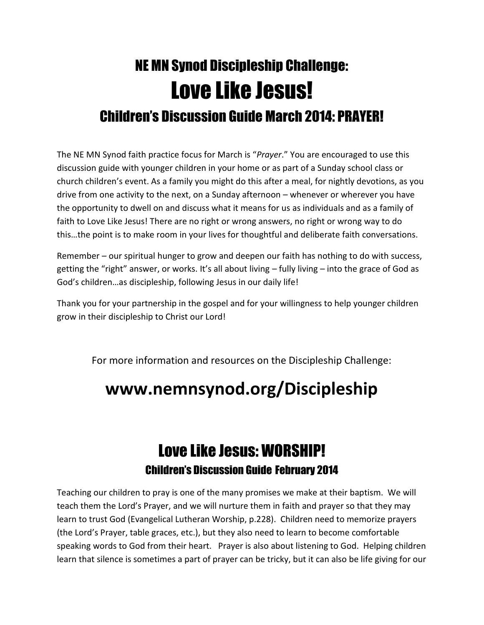## NE MN Synod Discipleship Challenge: Love Like Jesus! Children's Discussion Guide March 2014: PRAYER!

The NE MN Synod faith practice focus for March is "*Prayer*." You are encouraged to use this discussion guide with younger children in your home or as part of a Sunday school class or church children's event. As a family you might do this after a meal, for nightly devotions, as you drive from one activity to the next, on a Sunday afternoon – whenever or wherever you have the opportunity to dwell on and discuss what it means for us as individuals and as a family of faith to Love Like Jesus! There are no right or wrong answers, no right or wrong way to do this…the point is to make room in your lives for thoughtful and deliberate faith conversations.

Remember – our spiritual hunger to grow and deepen our faith has nothing to do with success, getting the "right" answer, or works. It's all about living – fully living – into the grace of God as God's children…as discipleship, following Jesus in our daily life!

Thank you for your partnership in the gospel and for your willingness to help younger children grow in their discipleship to Christ our Lord!

For more information and resources on the Discipleship Challenge:

## **www.nemnsynod.org/Discipleship**

## Love Like Jesus: WORSHIP! Children's Discussion Guide February 2014

Teaching our children to pray is one of the many promises we make at their baptism. We will teach them the Lord's Prayer, and we will nurture them in faith and prayer so that they may learn to trust God (Evangelical Lutheran Worship, p.228). Children need to memorize prayers (the Lord's Prayer, table graces, etc.), but they also need to learn to become comfortable speaking words to God from their heart. Prayer is also about listening to God. Helping children learn that silence is sometimes a part of prayer can be tricky, but it can also be life giving for our